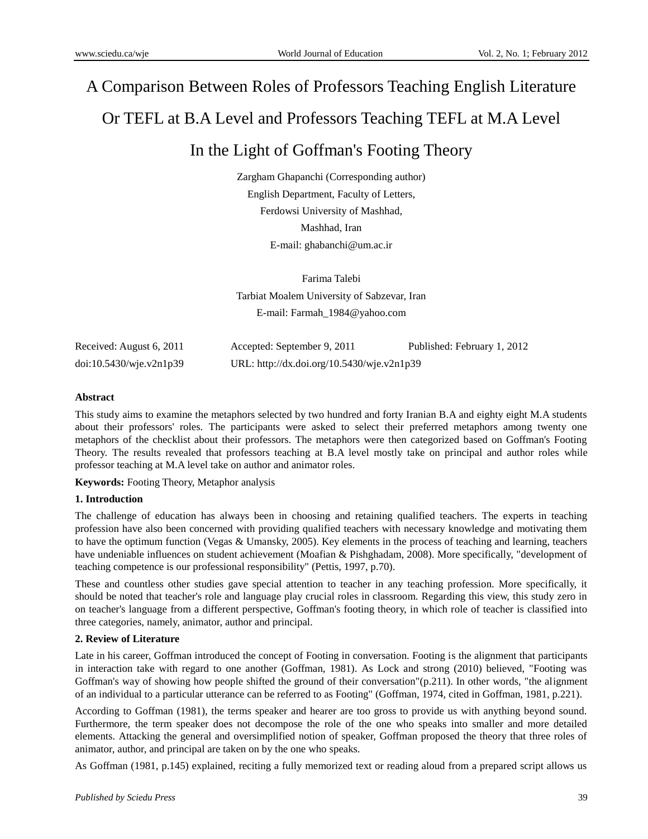# A Comparison Between Roles of Professors Teaching English Literature Or TEFL at B.A Level and Professors Teaching TEFL at M.A Level

# In the Light of Goffman's Footing Theory

Zargham Ghapanchi (Corresponding author) English Department, Faculty of Letters, Ferdowsi University of Mashhad, Mashhad, Iran E-mail: [ghabanchi@um.ac.ir](mailto:ghabanchi@um.ac.ir)

Farima Talebi Tarbiat Moalem University of Sabzevar, Iran E-mail: [Farmah\\_1984@yahoo.com](mailto:Farmah_1984@yahoo.com)

| Received: August 6, 2011 | Accepted: September 9, 2011                | Published: February 1, 2012 |
|--------------------------|--------------------------------------------|-----------------------------|
| doi:10.5430/wje.v2n1p39  | URL: http://dx.doi.org/10.5430/wje.v2n1p39 |                             |

#### **Abstract**

This study aims to examine the metaphors selected by two hundred and forty Iranian B.A and eighty eight M.A students about their professors' roles. The participants were asked to select their preferred metaphors among twenty one metaphors of the checklist about their professors. The metaphors were then categorized based on Goffman's Footing Theory. The results revealed that professors teaching at B.A level mostly take on principal and author roles while professor teaching at M.A level take on author and animator roles.

**Keywords:** Footing Theory, Metaphor analysis

# **1. Introduction**

The challenge of education has always been in choosing and retaining qualified teachers. The experts in teaching profession have also been concerned with providing qualified teachers with necessary knowledge and motivating them to have the optimum function (Vegas & Umansky, 2005). Key elements in the process of teaching and learning, teachers have undeniable influences on student achievement (Moafian & Pishghadam, 2008). More specifically, "development of teaching competence is our professional responsibility" (Pettis, 1997, p.70).

These and countless other studies gave special attention to teacher in any teaching profession. More specifically, it should be noted that teacher's role and language play crucial roles in classroom. Regarding this view, this study zero in on teacher's language from a different perspective, Goffman's footing theory, in which role of teacher is classified into three categories, namely, animator, author and principal.

# **2. Review of Literature**

Late in his career, Goffman introduced the concept of Footing in conversation. Footing is the alignment that participants in interaction take with regard to one another (Goffman, 1981). As Lock and strong (2010) believed, "Footing was Goffman's way of showing how people shifted the ground of their conversation"(p.211). In other words, "the alignment of an individual to a particular utterance can be referred to as Footing" (Goffman, 1974, cited in Goffman, 1981, p.221).

According to Goffman (1981), the terms speaker and hearer are too gross to provide us with anything beyond sound. Furthermore, the term speaker does not decompose the role of the one who speaks into smaller and more detailed elements. Attacking the general and oversimplified notion of speaker, Goffman proposed the theory that three roles of animator, author, and principal are taken on by the one who speaks.

As Goffman (1981, p.145) explained, reciting a fully memorized text or reading aloud from a prepared script allows us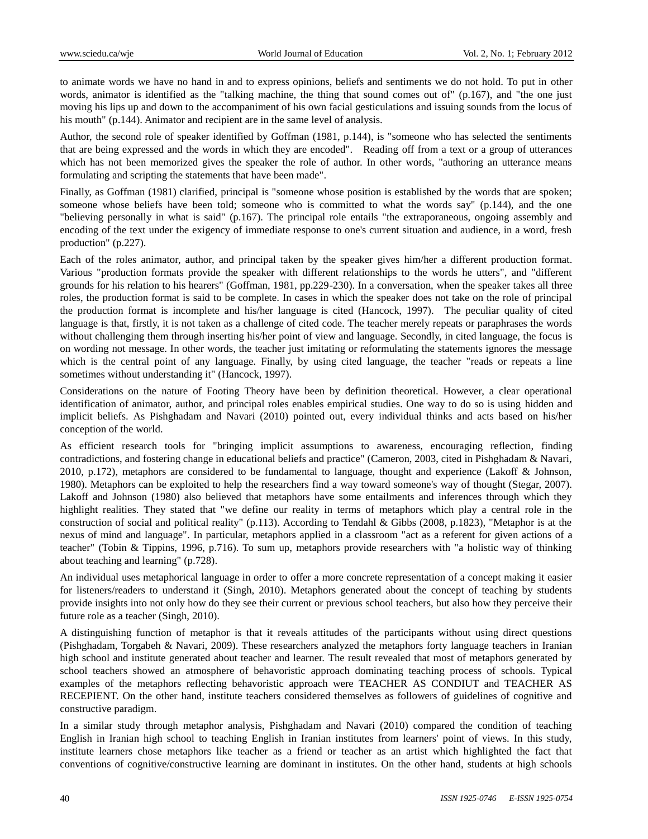to animate words we have no hand in and to express opinions, beliefs and sentiments we do not hold. To put in other words, animator is identified as the "talking machine, the thing that sound comes out of" (p.167), and "the one just moving his lips up and down to the accompaniment of his own facial gesticulations and issuing sounds from the locus of his mouth" (p.144). Animator and recipient are in the same level of analysis.

Author, the second role of speaker identified by Goffman (1981, p.144), is "someone who has selected the sentiments that are being expressed and the words in which they are encoded". Reading off from a text or a group of utterances which has not been memorized gives the speaker the role of author. In other words, "authoring an utterance means formulating and scripting the statements that have been made".

Finally, as Goffman (1981) clarified, principal is "someone whose position is established by the words that are spoken; someone whose beliefs have been told; someone who is committed to what the words say" (p.144), and the one "believing personally in what is said" (p.167). The principal role entails "the extraporaneous, ongoing assembly and encoding of the text under the exigency of immediate response to one's current situation and audience, in a word, fresh production" (p.227).

Each of the roles animator, author, and principal taken by the speaker gives him/her a different production format. Various "production formats provide the speaker with different relationships to the words he utters", and "different grounds for his relation to his hearers" (Goffman, 1981, pp.229-230). In a conversation, when the speaker takes all three roles, the production format is said to be complete. In cases in which the speaker does not take on the role of principal the production format is incomplete and his/her language is cited (Hancock, 1997). The peculiar quality of cited language is that, firstly, it is not taken as a challenge of cited code. The teacher merely repeats or paraphrases the words without challenging them through inserting his/her point of view and language. Secondly, in cited language, the focus is on wording not message. In other words, the teacher just imitating or reformulating the statements ignores the message which is the central point of any language. Finally, by using cited language, the teacher "reads or repeats a line sometimes without understanding it" (Hancock, 1997).

Considerations on the nature of Footing Theory have been by definition theoretical. However, a clear operational identification of animator, author, and principal roles enables empirical studies. One way to do so is using hidden and implicit beliefs. As Pishghadam and Navari (2010) pointed out, every individual thinks and acts based on his/her conception of the world.

As efficient research tools for "bringing implicit assumptions to awareness, encouraging reflection, finding contradictions, and fostering change in educational beliefs and practice" (Cameron, 2003, cited in Pishghadam & Navari, 2010, p.172), metaphors are considered to be fundamental to language, thought and experience (Lakoff & Johnson, 1980). Metaphors can be exploited to help the researchers find a way toward someone's way of thought (Stegar, 2007). Lakoff and Johnson (1980) also believed that metaphors have some entailments and inferences through which they highlight realities. They stated that "we define our reality in terms of metaphors which play a central role in the construction of social and political reality" (p.113). According to Tendahl & Gibbs (2008, p.1823), "Metaphor is at the nexus of mind and language". In particular, metaphors applied in a classroom "act as a referent for given actions of a teacher" (Tobin & Tippins, 1996, p.716). To sum up, metaphors provide researchers with "a holistic way of thinking about teaching and learning" (p.728).

An individual uses metaphorical language in order to offer a more concrete representation of a concept making it easier for listeners/readers to understand it (Singh, 2010). Metaphors generated about the concept of teaching by students provide insights into not only how do they see their current or previous school teachers, but also how they perceive their future role as a teacher (Singh, 2010).

A distinguishing function of metaphor is that it reveals attitudes of the participants without using direct questions (Pishghadam, Torgabeh & Navari, 2009). These researchers analyzed the metaphors forty language teachers in Iranian high school and institute generated about teacher and learner. The result revealed that most of metaphors generated by school teachers showed an atmosphere of behavoristic approach dominating teaching process of schools. Typical examples of the metaphors reflecting behavoristic approach were TEACHER AS CONDIUT and TEACHER AS RECEPIENT. On the other hand, institute teachers considered themselves as followers of guidelines of cognitive and constructive paradigm.

In a similar study through metaphor analysis, Pishghadam and Navari (2010) compared the condition of teaching English in Iranian high school to teaching English in Iranian institutes from learners' point of views. In this study, institute learners chose metaphors like teacher as a friend or teacher as an artist which highlighted the fact that conventions of cognitive/constructive learning are dominant in institutes. On the other hand, students at high schools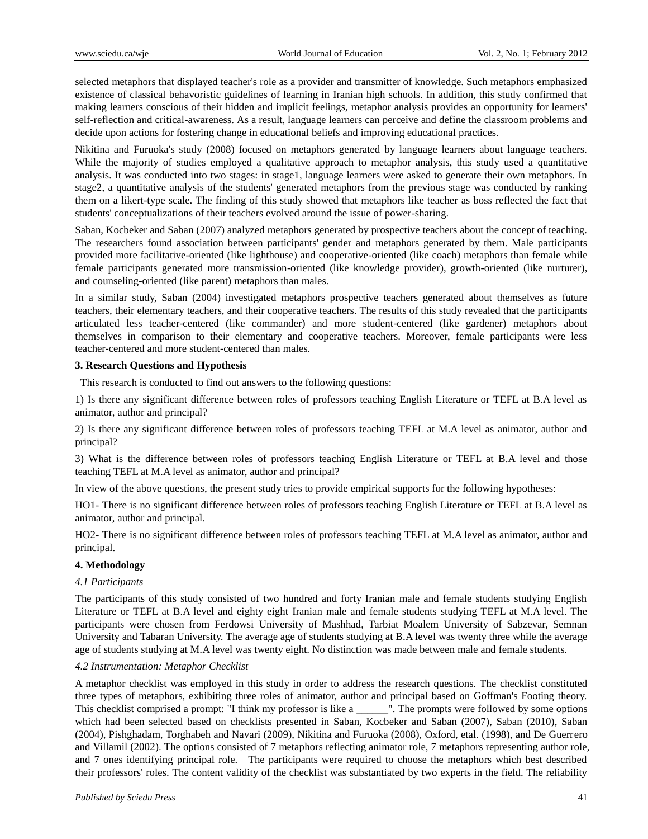selected metaphors that displayed teacher's role as a provider and transmitter of knowledge. Such metaphors emphasized existence of classical behavoristic guidelines of learning in Iranian high schools. In addition, this study confirmed that making learners conscious of their hidden and implicit feelings, metaphor analysis provides an opportunity for learners' self-reflection and critical-awareness. As a result, language learners can perceive and define the classroom problems and decide upon actions for fostering change in educational beliefs and improving educational practices.

Nikitina and Furuoka's study (2008) focused on metaphors generated by language learners about language teachers. While the majority of studies employed a qualitative approach to metaphor analysis, this study used a quantitative analysis. It was conducted into two stages: in stage1, language learners were asked to generate their own metaphors. In stage2, a quantitative analysis of the students' generated metaphors from the previous stage was conducted by ranking them on a likert-type scale. The finding of this study showed that metaphors like teacher as boss reflected the fact that students' conceptualizations of their teachers evolved around the issue of power-sharing.

Saban, Kocbeker and Saban (2007) analyzed metaphors generated by prospective teachers about the concept of teaching. The researchers found association between participants' gender and metaphors generated by them. Male participants provided more facilitative-oriented (like lighthouse) and cooperative-oriented (like coach) metaphors than female while female participants generated more transmission-oriented (like knowledge provider), growth-oriented (like nurturer), and counseling-oriented (like parent) metaphors than males.

In a similar study, Saban (2004) investigated metaphors prospective teachers generated about themselves as future teachers, their elementary teachers, and their cooperative teachers. The results of this study revealed that the participants articulated less teacher-centered (like commander) and more student-centered (like gardener) metaphors about themselves in comparison to their elementary and cooperative teachers. Moreover, female participants were less teacher-centered and more student-centered than males.

### **3. Research Questions and Hypothesis**

This research is conducted to find out answers to the following questions:

1) Is there any significant difference between roles of professors teaching English Literature or TEFL at B.A level as animator, author and principal?

2) Is there any significant difference between roles of professors teaching TEFL at M.A level as animator, author and principal?

3) What is the difference between roles of professors teaching English Literature or TEFL at B.A level and those teaching TEFL at M.A level as animator, author and principal?

In view of the above questions, the present study tries to provide empirical supports for the following hypotheses:

HO1- There is no significant difference between roles of professors teaching English Literature or TEFL at B.A level as animator, author and principal.

HO2- There is no significant difference between roles of professors teaching TEFL at M.A level as animator, author and principal.

# **4. Methodology**

#### *4.1 Participants*

The participants of this study consisted of two hundred and forty Iranian male and female students studying English Literature or TEFL at B.A level and eighty eight Iranian male and female students studying TEFL at M.A level. The participants were chosen from Ferdowsi University of Mashhad, Tarbiat Moalem University of Sabzevar, Semnan University and Tabaran University. The average age of students studying at B.A level was twenty three while the average age of students studying at M.A level was twenty eight. No distinction was made between male and female students.

#### *4.2 Instrumentation: Metaphor Checklist*

A metaphor checklist was employed in this study in order to address the research questions. The checklist constituted three types of metaphors, exhibiting three roles of animator, author and principal based on Goffman's Footing theory. This checklist comprised a prompt: "I think my professor is like a \_\_\_\_\_". The prompts were followed by some options which had been selected based on checklists presented in Saban, Kocbeker and Saban (2007), Saban (2010), Saban (2004), Pishghadam, Torghabeh and Navari (2009), Nikitina and Furuoka (2008), Oxford, etal. (1998), and De Guerrero and Villamil (2002). The options consisted of 7 metaphors reflecting animator role, 7 metaphors representing author role, and 7 ones identifying principal role. The participants were required to choose the metaphors which best described their professors' roles. The content validity of the checklist was substantiated by two experts in the field. The reliability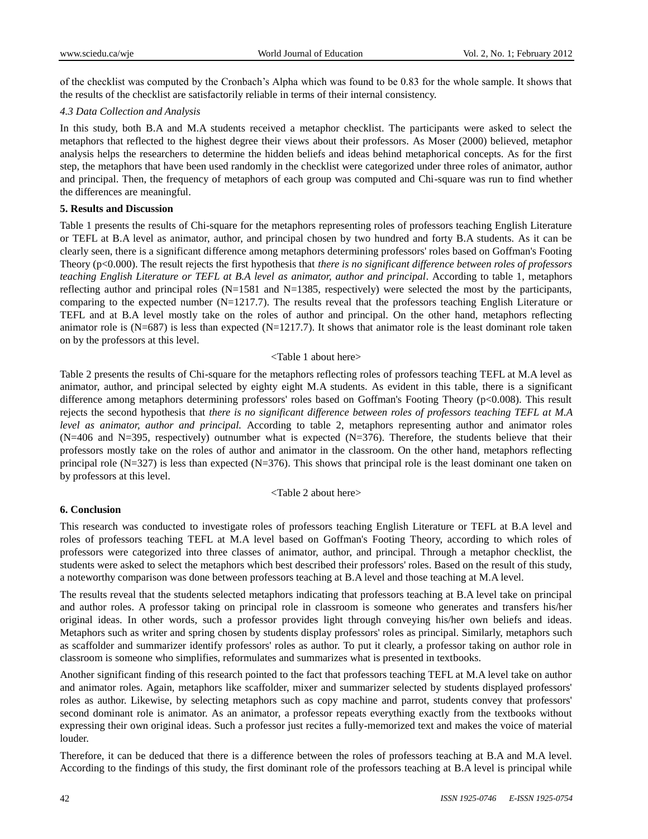of the checklist was computed by the Cronbach's Alpha which was found to be 0.83 for the whole sample. It shows that the results of the checklist are satisfactorily reliable in terms of their internal consistency.

#### *4.3 Data Collection and Analysis*

In this study, both B.A and M.A students received a metaphor checklist. The participants were asked to select the metaphors that reflected to the highest degree their views about their professors. As Moser (2000) believed, metaphor analysis helps the researchers to determine the hidden beliefs and ideas behind metaphorical concepts. As for the first step, the metaphors that have been used randomly in the checklist were categorized under three roles of animator, author and principal. Then, the frequency of metaphors of each group was computed and Chi-square was run to find whether the differences are meaningful.

#### **5. Results and Discussion**

Table 1 presents the results of Chi-square for the metaphors representing roles of professors teaching English Literature or TEFL at B.A level as animator, author, and principal chosen by two hundred and forty B.A students. As it can be clearly seen, there is a significant difference among metaphors determining professors' roles based on Goffman's Footing Theory (p<0.000). The result rejects the first hypothesis that *there is no significant difference between roles of professors teaching English Literature or TEFL at B.A level as animator, author and principal*. According to table 1, metaphors reflecting author and principal roles  $(N=1581$  and  $N=1385$ , respectively) were selected the most by the participants, comparing to the expected number  $(N=1217.7)$ . The results reveal that the professors teaching English Literature or TEFL and at B.A level mostly take on the roles of author and principal. On the other hand, metaphors reflecting animator role is  $(N=687)$  is less than expected  $(N=1217.7)$ . It shows that animator role is the least dominant role taken on by the professors at this level.

#### <Table 1 about here>

Table 2 presents the results of Chi-square for the metaphors reflecting roles of professors teaching TEFL at M.A level as animator, author, and principal selected by eighty eight M.A students. As evident in this table, there is a significant difference among metaphors determining professors' roles based on Goffman's Footing Theory (p<0.008). This result rejects the second hypothesis that *there is no significant difference between roles of professors teaching TEFL at M.A level as animator, author and principal.* According to table 2, metaphors representing author and animator roles (N=406 and N=395, respectively) outnumber what is expected (N=376). Therefore, the students believe that their professors mostly take on the roles of author and animator in the classroom. On the other hand, metaphors reflecting principal role (N=327) is less than expected (N=376). This shows that principal role is the least dominant one taken on by professors at this level.

<Table 2 about here>

#### **6. Conclusion**

This research was conducted to investigate roles of professors teaching English Literature or TEFL at B.A level and roles of professors teaching TEFL at M.A level based on Goffman's Footing Theory, according to which roles of professors were categorized into three classes of animator, author, and principal. Through a metaphor checklist, the students were asked to select the metaphors which best described their professors' roles. Based on the result of this study, a noteworthy comparison was done between professors teaching at B.A level and those teaching at M.A level.

The results reveal that the students selected metaphors indicating that professors teaching at B.A level take on principal and author roles. A professor taking on principal role in classroom is someone who generates and transfers his/her original ideas. In other words, such a professor provides light through conveying his/her own beliefs and ideas. Metaphors such as writer and spring chosen by students display professors' roles as principal. Similarly, metaphors such as scaffolder and summarizer identify professors' roles as author. To put it clearly, a professor taking on author role in classroom is someone who simplifies, reformulates and summarizes what is presented in textbooks.

Another significant finding of this research pointed to the fact that professors teaching TEFL at M.A level take on author and animator roles. Again, metaphors like scaffolder, mixer and summarizer selected by students displayed professors' roles as author. Likewise, by selecting metaphors such as copy machine and parrot, students convey that professors' second dominant role is animator. As an animator, a professor repeats everything exactly from the textbooks without expressing their own original ideas. Such a professor just recites a fully-memorized text and makes the voice of material louder.

Therefore, it can be deduced that there is a difference between the roles of professors teaching at B.A and M.A level. According to the findings of this study, the first dominant role of the professors teaching at B.A level is principal while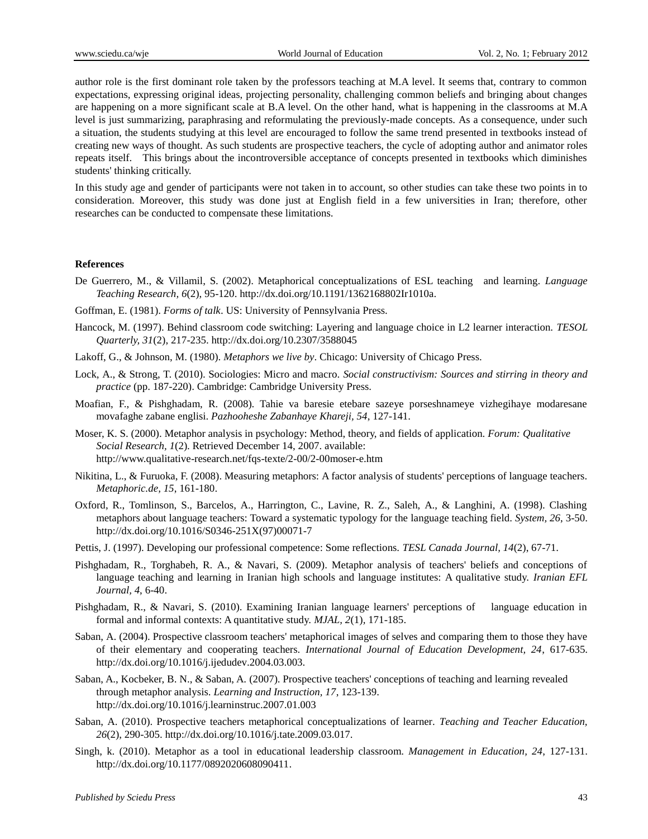author role is the first dominant role taken by the professors teaching at M.A level. It seems that, contrary to common expectations, expressing original ideas, projecting personality, challenging common beliefs and bringing about changes are happening on a more significant scale at B.A level. On the other hand, what is happening in the classrooms at M.A level is just summarizing, paraphrasing and reformulating the previously-made concepts. As a consequence, under such a situation, the students studying at this level are encouraged to follow the same trend presented in textbooks instead of creating new ways of thought. As such students are prospective teachers, the cycle of adopting author and animator roles repeats itself. This brings about the incontroversible acceptance of concepts presented in textbooks which diminishes students' thinking critically.

In this study age and gender of participants were not taken in to account, so other studies can take these two points in to consideration. Moreover, this study was done just at English field in a few universities in Iran; therefore, other researches can be conducted to compensate these limitations.

#### **References**

- De Guerrero, M., & Villamil, S. (2002). Metaphorical conceptualizations of ESL teaching and learning. *Language Teaching Research, 6*(2), 95-120. http://dx.doi.org/10.1191/1362168802Ir1010a.
- Goffman, E. (1981). *Forms of talk*. US: University of Pennsylvania Press.
- Hancock, M. (1997). Behind classroom code switching: Layering and language choice in L2 learner interaction. *TESOL Quarterly, 31*(2), 217-235.<http://dx.doi.org/10.2307/3588045>
- Lakoff, G., & Johnson, M. (1980). *Metaphors we live by*. Chicago: University of Chicago Press.
- Lock, A., & Strong, T. (2010). Sociologies: Micro and macro. *Social constructivism: Sources and stirring in theory and practice* (pp. 187-220). Cambridge: Cambridge University Press.
- Moafian, F., & Pishghadam, R. (2008). Tahie va baresie etebare sazeye porseshnameye vizhegihaye modaresane movafaghe zabane englisi. *Pazhooheshe Zabanhaye Khareji, 54*, 127-141.
- Moser, K. S. (2000). Metaphor analysis in psychology: Method, theory, and fields of application. *Forum: Qualitative Social Research, 1*(2). Retrieved December 14, 2007. available: http://www.qualitative-research.net/fqs-texte/2-00/2-00moser-e.htm
- Nikitina, L., & Furuoka, F. (2008). Measuring metaphors: A factor analysis of students' perceptions of language teachers. *Metaphoric.de, 15*, 161-180.
- Oxford, R., Tomlinson, S., Barcelos, A., Harrington, C., Lavine, R. Z., Saleh, A., & Langhini, A. (1998). Clashing metaphors about language teachers: Toward a systematic typology for the language teaching field. *System, 26*, 3-50. [http://dx.doi.org/10.1016/S0346-251X\(97\)00071-7](http://dx.doi.org/10.1016/S0346-251X(97)00071-7)
- Pettis, J. (1997). Developing our professional competence: Some reflections. *TESL Canada Journal, 14*(2), 67-71.
- Pishghadam, R., Torghabeh, R. A., & Navari, S. (2009). Metaphor analysis of teachers' beliefs and conceptions of language teaching and learning in Iranian high schools and language institutes: A qualitative study. *Iranian EFL Journal, 4*, 6-40.
- Pishghadam, R., & Navari, S. (2010). Examining Iranian language learners' perceptions of language education in formal and informal contexts: A quantitative study. *MJAL, 2*(1)*,* 171-185.
- Saban, A. (2004). Prospective classroom teachers' metaphorical images of selves and comparing them to those they have of their elementary and cooperating teachers. *International Journal of Education Development, 24*, 617-635. http://dx.doi.org/10.1016/j.ijedudev.2004.03.003.
- Saban, A., Kocbeker, B. N., & Saban, A. (2007). Prospective teachers' conceptions of teaching and learning revealed through metaphor analysis. *Learning and Instruction, 17*, 123-139. <http://dx.doi.org/10.1016/j.learninstruc.2007.01.003>
- Saban, A. (2010). Prospective teachers metaphorical conceptualizations of learner. *Teaching and Teacher Education, 26*(2), 290-305. http://dx.doi.org/10.1016/j.tate.2009.03.017.
- Singh, k. (2010). Metaphor as a tool in educational leadership classroom. *Management in Education, 24*, 127-131. [http://dx.doi.org/10.1177/0892020608090411.](http://dx.doi.org/10.1177/0892020608090411)